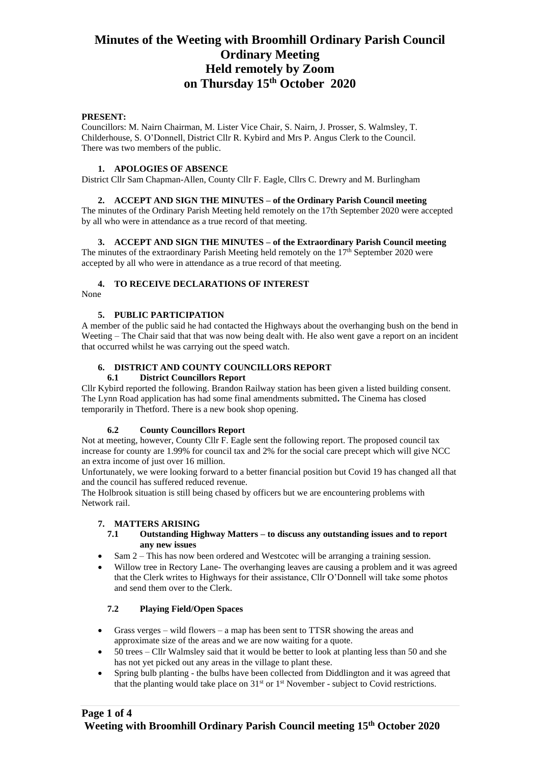## **PRESENT:**

Councillors: M. Nairn Chairman, M. Lister Vice Chair, S. Nairn, J. Prosser, S. Walmsley, T. Childerhouse, S. O'Donnell, District Cllr R. Kybird and Mrs P. Angus Clerk to the Council. There was two members of the public.

### **1. APOLOGIES OF ABSENCE**

District Cllr Sam Chapman-Allen, County Cllr F. Eagle, Cllrs C. Drewry and M. Burlingham

## **2. ACCEPT AND SIGN THE MINUTES – of the Ordinary Parish Council meeting**

The minutes of the Ordinary Parish Meeting held remotely on the 17th September 2020 were accepted by all who were in attendance as a true record of that meeting.

### **3. ACCEPT AND SIGN THE MINUTES – of the Extraordinary Parish Council meeting**

The minutes of the extraordinary Parish Meeting held remotely on the  $17<sup>th</sup>$  September 2020 were accepted by all who were in attendance as a true record of that meeting.

# **4. TO RECEIVE DECLARATIONS OF INTEREST**

None

### **5. PUBLIC PARTICIPATION**

A member of the public said he had contacted the Highways about the overhanging bush on the bend in Weeting – The Chair said that that was now being dealt with. He also went gave a report on an incident that occurred whilst he was carrying out the speed watch.

# **6. DISTRICT AND COUNTY COUNCILLORS REPORT**

### **6.1 District Councillors Report**

Cllr Kybird reported the following. Brandon Railway station has been given a listed building consent. The Lynn Road application has had some final amendments submitted**.** The Cinema has closed temporarily in Thetford. There is a new book shop opening.

### **6.2 County Councillors Report**

Not at meeting, however, County Cllr F. Eagle sent the following report. The proposed council tax increase for county are 1.99% for council tax and 2% for the social care precept which will give NCC an extra income of just over 16 million.

Unfortunately, we were looking forward to a better financial position but Covid 19 has changed all that and the council has suffered reduced revenue.

The Holbrook situation is still being chased by officers but we are encountering problems with Network rail.

# **7. MATTERS ARISING**

### **7.1 Outstanding Highway Matters – to discuss any outstanding issues and to report any new issues**

- Sam 2 This has now been ordered and Westcotec will be arranging a training session.
- Willow tree in Rectory Lane- The overhanging leaves are causing a problem and it was agreed that the Clerk writes to Highways for their assistance, Cllr O'Donnell will take some photos and send them over to the Clerk.

# **7.2 Playing Field/Open Spaces**

- Grass verges wild flowers a map has been sent to TTSR showing the areas and approximate size of the areas and we are now waiting for a quote.
- 50 trees Cllr Walmsley said that it would be better to look at planting less than 50 and she has not yet picked out any areas in the village to plant these.
- Spring bulb planting the bulbs have been collected from Diddlington and it was agreed that that the planting would take place on 31st or 1st November - subject to Covid restrictions.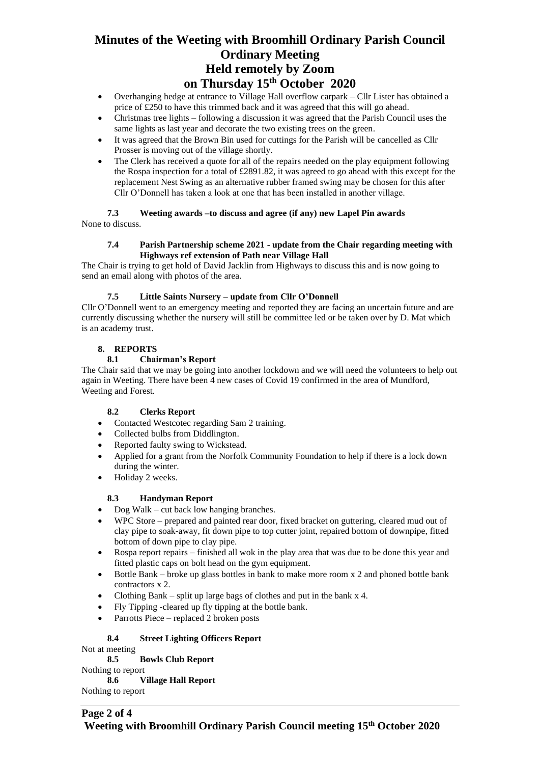- Overhanging hedge at entrance to Village Hall overflow carpark Cllr Lister has obtained a price of £250 to have this trimmed back and it was agreed that this will go ahead.
- Christmas tree lights following a discussion it was agreed that the Parish Council uses the same lights as last year and decorate the two existing trees on the green.
- It was agreed that the Brown Bin used for cuttings for the Parish will be cancelled as Cllr Prosser is moving out of the village shortly.
- The Clerk has received a quote for all of the repairs needed on the play equipment following the Rospa inspection for a total of £2891.82, it was agreed to go ahead with this except for the replacement Nest Swing as an alternative rubber framed swing may be chosen for this after Cllr O'Donnell has taken a look at one that has been installed in another village.

**7.3 Weeting awards –to discuss and agree (if any) new Lapel Pin awards**  None to discuss.

### **7.4 Parish Partnership scheme 2021 - update from the Chair regarding meeting with Highways ref extension of Path near Village Hall**

The Chair is trying to get hold of David Jacklin from Highways to discuss this and is now going to send an email along with photos of the area.

# **7.5 Little Saints Nursery – update from Cllr O'Donnell**

Cllr O'Donnell went to an emergency meeting and reported they are facing an uncertain future and are currently discussing whether the nursery will still be committee led or be taken over by D. Mat which is an academy trust.

# **8. REPORTS**

# **8.1 Chairman's Report**

The Chair said that we may be going into another lockdown and we will need the volunteers to help out again in Weeting. There have been 4 new cases of Covid 19 confirmed in the area of Mundford, Weeting and Forest.

# **8.2 Clerks Report**

- Contacted Westcotec regarding Sam 2 training.
- Collected bulbs from Diddlington.
- Reported faulty swing to Wickstead.
- Applied for a grant from the Norfolk Community Foundation to help if there is a lock down during the winter.
- Holiday 2 weeks.

# **8.3 Handyman Report**

- Dog Walk cut back low hanging branches.
- WPC Store prepared and painted rear door, fixed bracket on guttering, cleared mud out of clay pipe to soak-away, fit down pipe to top cutter joint, repaired bottom of downpipe, fitted bottom of down pipe to clay pipe.
- Rospa report repairs finished all wok in the play area that was due to be done this year and fitted plastic caps on bolt head on the gym equipment.
- Bottle Bank broke up glass bottles in bank to make more room x 2 and phoned bottle bank contractors x 2.
- Clothing Bank split up large bags of clothes and put in the bank  $x$  4.
- Fly Tipping -cleared up fly tipping at the bottle bank.
- Parrotts Piece replaced 2 broken posts

# **8.4 Street Lighting Officers Report**

Not at meeting

# **8.5 Bowls Club Report**

Nothing to report

**8.6 Village Hall Report**

Nothing to report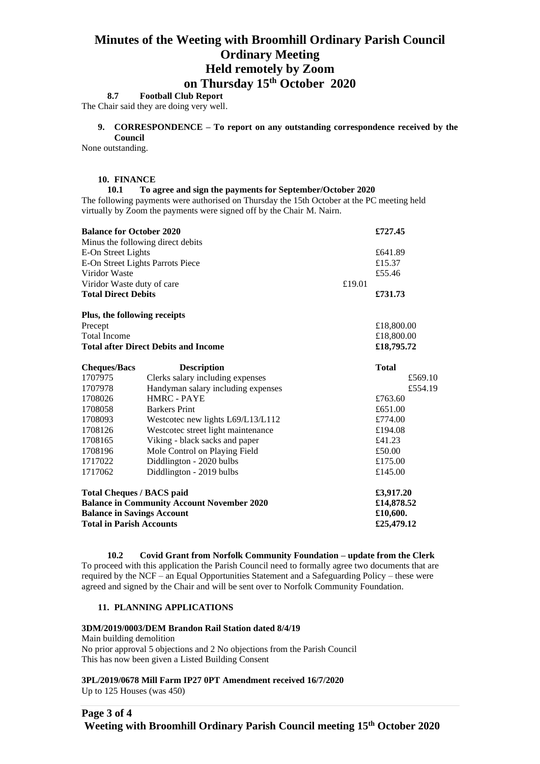# **8.7 Football Club Report**

The Chair said they are doing very well.

**9. CORRESPONDENCE – To report on any outstanding correspondence received by the Council**

None outstanding.

#### **10. FINANCE**

#### **10.1 To agree and sign the payments for September/October 2020**

The following payments were authorised on Thursday the 15th October at the PC meeting held virtually by Zoom the payments were signed off by the Chair M. Nairn.

| <b>Balance for October 2020</b>                   |                                    |        | £727.45      |
|---------------------------------------------------|------------------------------------|--------|--------------|
|                                                   | Minus the following direct debits  |        |              |
| E-On Street Lights                                |                                    |        | £641.89      |
| E-On Street Lights Parrots Piece                  |                                    |        | £15.37       |
| Viridor Waste                                     |                                    |        | £55.46       |
| Viridor Waste duty of care                        |                                    | £19.01 |              |
| <b>Total Direct Debits</b>                        |                                    |        | £731.73      |
| Plus, the following receipts                      |                                    |        |              |
| Precept                                           |                                    |        | £18,800.00   |
| <b>Total Income</b>                               |                                    |        | £18,800.00   |
| <b>Total after Direct Debits and Income</b>       |                                    |        | £18,795.72   |
| <b>Cheques/Bacs</b>                               | <b>Description</b>                 |        | <b>Total</b> |
| 1707975                                           | Clerks salary including expenses   |        | £569.10      |
| 1707978                                           | Handyman salary including expenses |        | £554.19      |
| 1708026                                           | HMRC - PAYE                        |        | £763.60      |
| 1708058                                           | <b>Barkers Print</b>               |        | £651.00      |
| 1708093                                           | Westcotec new lights L69/L13/L112  |        | £774.00      |
| 1708126                                           | Westcotec street light maintenance |        | £194.08      |
| 1708165                                           | Viking - black sacks and paper     |        | £41.23       |
| 1708196                                           | Mole Control on Playing Field      |        | £50.00       |
| 1717022                                           | Diddlington - 2020 bulbs           |        | £175.00      |
| 1717062                                           | Diddlington - 2019 bulbs           |        | £145.00      |
| <b>Total Cheques / BACS paid</b>                  |                                    |        | £3,917.20    |
| <b>Balance in Community Account November 2020</b> |                                    |        | £14,878.52   |
| <b>Balance in Savings Account</b>                 |                                    |        | £10,600.     |
| <b>Total in Parish Accounts</b>                   |                                    |        | £25,479.12   |

**10.2 Covid Grant from Norfolk Community Foundation – update from the Clerk** To proceed with this application the Parish Council need to formally agree two documents that are required by the NCF – an Equal Opportunities Statement and a Safeguarding Policy – these were agreed and signed by the Chair and will be sent over to Norfolk Community Foundation.

### **11. PLANNING APPLICATIONS**

#### **3DM/2019/0003/DEM Brandon Rail Station dated 8/4/19**

Main building demolition No prior approval 5 objections and 2 No objections from the Parish Council This has now been given a Listed Building Consent

### **3PL/2019/0678 Mill Farm IP27 0PT Amendment received 16/7/2020**

Up to 125 Houses (was 450)